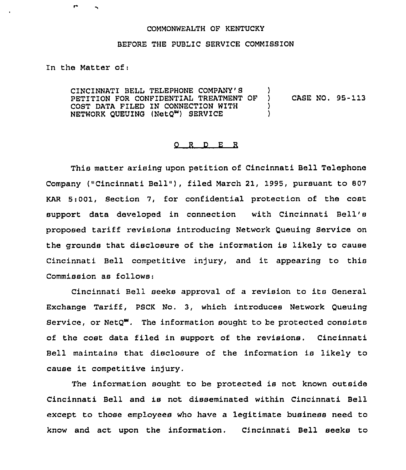## COMMONWEALTH OF KENTUCKY

## BEFORE THE PUBLIC SERVICE COMMISSION

In the Matter of:

CINCINNATI BELL TELEPHONE COMPANY'S )<br>PETITION FOR CONFIDENTIAL TREATMENT OF ) PETITION FOR CONFIDENTIAL TREATMENT OF ) CASE NO. 95-113<br>COST DATA FILED IN CONNECTION WITH ) COST DATA FILED IN CONNECTION WITH (1) NETWORK QUEUING (NetQ") SERVICE )

## 0 <sup>R</sup> <sup>D</sup> E <sup>R</sup>

This matter arising upon petition of Cincinnati Bell Telephone Company ("Cincinnati Bell"), filed March 21, 1995, pursuant to 807 KAR 5i001, Section 7, for confidential protection of the cost support data developed in connection with Cincinnati Bell' proposed tariff revisions introducing Network Queuing Service on the grounds that disclosure of the information is likely to cause Cincinnati Bell competitive injury, and it appearing to this Commission as follows:

Cincinnati Bell seeks approval of <sup>a</sup> revision to its General Exchange Tariff, PSCK No. 3, which introduces Network Queuing Service, or  $NetQ^W$ . The information sought to be protected consists of the cost data filed in support of the revisions. Cincinnati Bell maintains that disclosure of the information is likely to cause it competitive injury.

The information sought to be protected is not known outside Cincinnati Bell and is not disseminated within Cincinnati Bell except to those employees who have a legitimate business need to know and act upon the information. Cincinnati Bell seeks to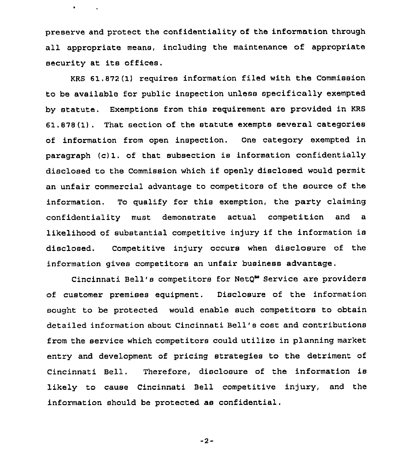preserve and protect the confidentiality of the information through all appropriate means, including the maintenance of appropriate security at its offices.

 $\bullet$  . The second  $\mathcal{L}_\bullet$ 

KRS 61.872(1) requires information filed with the Commission to be available for public inspection unless specifically exempted by statute, Exemptions from this requirement are provided in KRS 61.878(1). That section of the statute exempts several categories of information from open inspection. One category exempted in paragraph (c)1. of that subsection is information confidentially disclosed to the Commission which if openly disclosed would permit an unfair commercial advantage to competitors of the source of the information. To qualify for this exemption, the party claiming confidentiality must demonstrate actual competition and a likelihood of substantial competitive injury if the information is disclosed. Competitive in)ury occurs when disclosure of the information gives competitors an unfair business advantage.

Cincinnati Bell's competitors for NetQ<sup>w</sup> Service are providers of customer premises equipment. Disclosure of the information sought to be protected would enable such competitors to obtain detailed information about Cincinnati Bell's cost and contributions from the service which competitozs could utilize in planning market entry and development of pricing strategies to the detriment of Cincinnati Bell. Therefore, disclosure of the information is likely to cause Cincinnati Bell competitive injury, and the information should be protected as confidential.

-2-